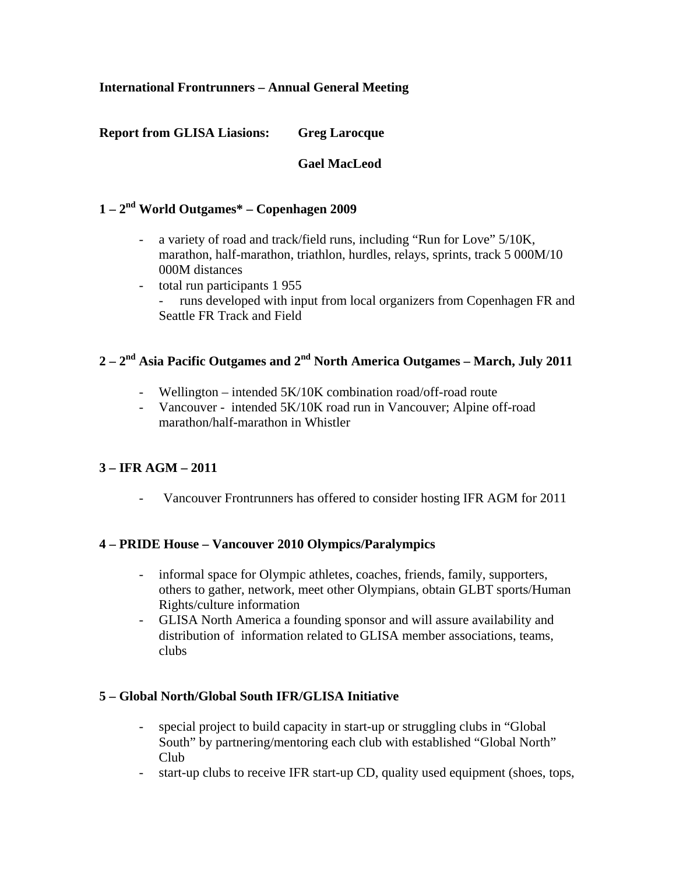### **International Frontrunners – Annual General Meeting**

### **Report from GLISA Liasions: Greg Larocque**

### **Gael MacLeod**

## **1 – 2nd World Outgames\* – Copenhagen 2009**

- a variety of road and track/field runs, including "Run for Love" 5/10K, marathon, half-marathon, triathlon, hurdles, relays, sprints, track 5 000M/10 000M distances
- total run participants 1 955
	- runs developed with input from local organizers from Copenhagen FR and Seattle FR Track and Field

# **2 – 2nd Asia Pacific Outgames and 2nd North America Outgames – March, July 2011**

- Wellington intended 5K/10K combination road/off-road route
- Vancouver intended 5K/10K road run in Vancouver; Alpine off-road marathon/half-marathon in Whistler

### **3 – IFR AGM – 2011**

Vancouver Frontrunners has offered to consider hosting IFR AGM for 2011

### **4 – PRIDE House – Vancouver 2010 Olympics/Paralympics**

- informal space for Olympic athletes, coaches, friends, family, supporters, others to gather, network, meet other Olympians, obtain GLBT sports/Human Rights/culture information
- GLISA North America a founding sponsor and will assure availability and distribution of information related to GLISA member associations, teams, clubs

### **5 – Global North/Global South IFR/GLISA Initiative**

- special project to build capacity in start-up or struggling clubs in "Global South" by partnering/mentoring each club with established "Global North" Club
- start-up clubs to receive IFR start-up CD, quality used equipment (shoes, tops,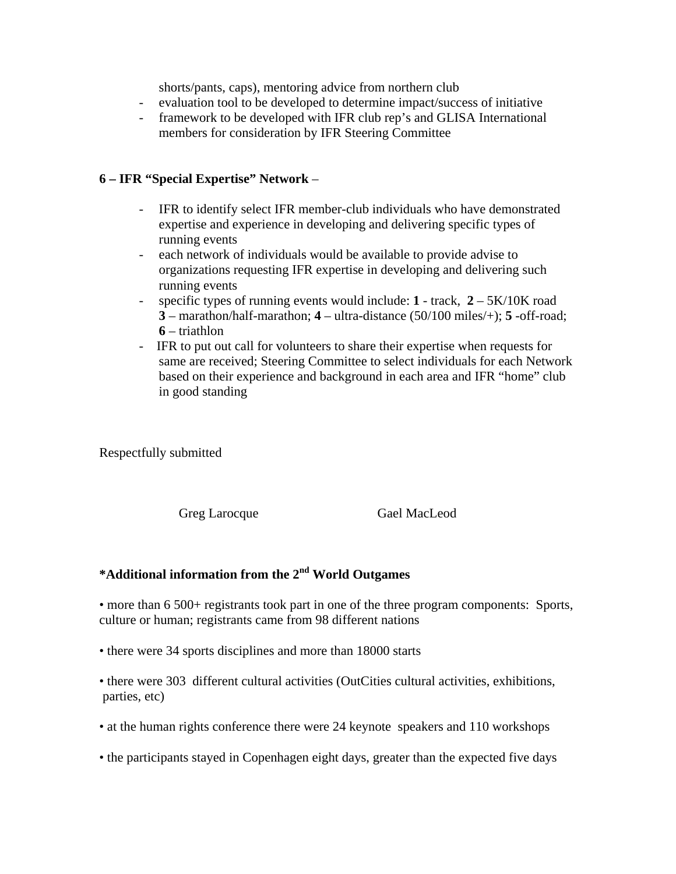shorts/pants, caps), mentoring advice from northern club

- evaluation tool to be developed to determine impact/success of initiative
- framework to be developed with IFR club rep's and GLISA International members for consideration by IFR Steering Committee

#### **6 – IFR "Special Expertise" Network** –

- IFR to identify select IFR member-club individuals who have demonstrated expertise and experience in developing and delivering specific types of running events
- each network of individuals would be available to provide advise to organizations requesting IFR expertise in developing and delivering such running events
- specific types of running events would include: **1** track, **2** 5K/10K road **3** – marathon/half-marathon; **4** – ultra-distance (50/100 miles/+); **5** -off-road; **6** – triathlon
- IFR to put out call for volunteers to share their expertise when requests for same are received; Steering Committee to select individuals for each Network based on their experience and background in each area and IFR "home" club in good standing

Respectfully submitted

Greg Larocque Gael MacLeod

# **\*Additional information from the 2nd World Outgames**

• more than 6 500+ registrants took part in one of the three program components: Sports, culture or human; registrants came from 98 different nations

• there were 34 sports disciplines and more than 18000 starts

• there were 303 different cultural activities (OutCities cultural activities, exhibitions, parties, etc)

- at the human rights conference there were 24 keynote speakers and 110 workshops
- the participants stayed in Copenhagen eight days, greater than the expected five days